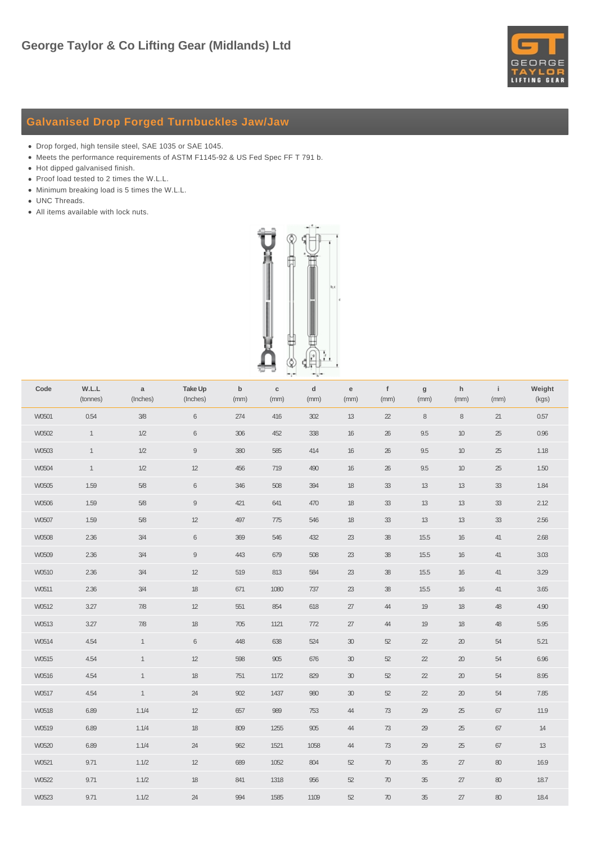

## **Galvanised Drop Forged Turnbuckles Jaw/Jaw**

- Drop forged, high tensile steel, SAE 1035 or SAE 1045.
- Meets the performance requirements of ASTM F1145-92 & US Fed Spec FF T 791 b.
- Hot dipped galvanised finish.
- Proof load tested to 2 times the W.L.L.
- Minimum breaking load is 5 times the W.L.L.
- UNC Threads.
- All items available with lock nuts.



| Code  | W.L.L<br>(tonnes) | $\mathsf{a}$<br>(Inches) | Take Up<br>(Inches) | $\mathsf b$<br>(mm) | $\mathbf c$<br>(mm) | $\mathsf{d}$<br>(mm) | ${\bf e}$<br>(mm) | $\mathbf{f}$<br>(mm) | $\boldsymbol{g}$<br>(mm) | h<br>(mm) | $\left\vert \cdot\right\vert$<br>(mm) | Weight<br>(kgs) |
|-------|-------------------|--------------------------|---------------------|---------------------|---------------------|----------------------|-------------------|----------------------|--------------------------|-----------|---------------------------------------|-----------------|
| W0501 | 0.54              | $3/8$                    | $\,6\,$             | 274                 | 416                 | 302                  | 13                | $2\!2$               | $\,8\,$                  | $\,8\,$   | 21                                    | 0.57            |
| W0502 | $\mathbf{1}$      | $1/2$                    | $\,6\,$             | 306                 | 452                 | 338                  | $16\,$            | $26\,$               | $9.5\,$                  | $10$      | $25\,$                                | 0.96            |
| W0503 | $\mathbf{1}$      | $1/2$                    | $\mathsf g$         | 380                 | 585                 | 414                  | $16\,$            | $26\,$               | $9.5\,$                  | $10$      | $25\,$                                | 1.18            |
| W0504 | $\mathbf{1}$      | $1/2$                    | $12$                | 456                 | 719                 | 490                  | $16\,$            | $26\,$               | $9.5\,$                  | $10$      | $25\,$                                | 1.50            |
| W0505 | 1.59              | $5/8$                    | $\,6\,$             | 346                 | 508                 | 394                  | $18\,$            | $33\,$               | $13$                     | 13        | $33\,$                                | 1.84            |
| W0506 | 1.59              | 5/8                      | 9                   | 421                 | 641                 | 470                  | 18                | $33\,$               | 13                       | 13        | $33$                                  | 2.12            |
| W0507 | 1.59              | $5/8$                    | 12                  | 497                 | 775                 | 546                  | 18                | $33\,$               | 13                       | 13        | $33\,$                                | 2.56            |
| W0508 | 2.36              | $3/4$                    | $\,6\,$             | 369                 | 546                 | 432                  | $23\,$            | $38\,$               | 15.5                     | 16        | 41                                    | 2.68            |
| W0509 | 2.36              | $3/4$                    | $\hbox{g}$          | 443                 | 679                 | 508                  | $23\,$            | $38\,$               | 15.5                     | 16        | 41                                    | 3.03            |
| W0510 | 2.36              | $3/4$                    | 12                  | 519                 | 813                 | 584                  | $23\,$            | $3\!$                | 15.5                     | $16\,$    | $41$                                  | 3.29            |
| W0511 | 2.36              | $3/4$                    | 18                  | 671                 | 1080                | 737                  | $23\,$            | $3\!8$               | 15.5                     | $16\,$    | $41$                                  | 3.65            |
| W0512 | 3.27              | $7/8$                    | 12                  | 551                 | 854                 | 618                  | $27\,$            | 44                   | 19                       | 18        | 48                                    | 4.90            |
| W0513 | 3.27              | $7/8$                    | 18                  | 705                 | 1121                | 772                  | $27\,$            | 44                   | 19                       | 18        | 48                                    | 5.95            |
| W0514 | 4.54              | $\mathbf{1}$             | $\,6\,$             | 448                 | 638                 | 524                  | $30\,$            | $52\,$               | $2\!2$                   | $20\,$    | $54\,$                                | $5.21$          |
| W0515 | 4.54              | $\mathbf{1}$             | 12                  | 598                 | 905                 | 676                  | $30\,$            | $52\,$               | $2\!2$                   | $20\,$    | $54\,$                                | 6.96            |
| W0516 | 4.54              | $\mathbf{1}$             | $18$                | 751                 | 1172                | 829                  | $30\,$            | $52\,$               | $2\!2$                   | $20\,$    | $54\,$                                | 8.95            |
| W0517 | 4.54              | $\mathbf{1}$             | 24                  | $902\,$             | 1437                | 980                  | $30\,$            | $52\,$               | $2\!2$                   | $20\,$    | $54\,$                                | 7.85            |
| W0518 | 6.89              | 1.1/4                    | 12                  | 657                 | 989                 | 753                  | 44                | $73$                 | $29\,$                   | $25\,$    | 67                                    | 11.9            |
| W0519 | 6.89              | 1.1/4                    | 18                  | 809                 | 1255                | 905                  | 44                | $73$                 | $29\,$                   | $25\,$    | 67                                    | 14              |
| W0520 | 6.89              | 1.1/4                    | 24                  | 962                 | 1521                | 1058                 | 44                | $73\,$               | $29\,$                   | $25\,$    | $67\,$                                | $13$            |
| W0521 | 9.71              | 1.1/2                    | 12                  | 689                 | 1052                | 804                  | $52\,$            | $70\,$               | $35\,$                   | $27\,$    | $80\,$                                | 16.9            |
| W0522 | 9.71              | 1.1/2                    | 18                  | 841                 | 1318                | 956                  | 52                | $70\,$               | 35                       | 27        | $80\,$                                | 18.7            |
| W0523 | 9.71              | 1.1/2                    | 24                  | 994                 | 1585                | 1109                 | $52\,$            | 70                   | 35                       | 27        | 80                                    | 18.4            |